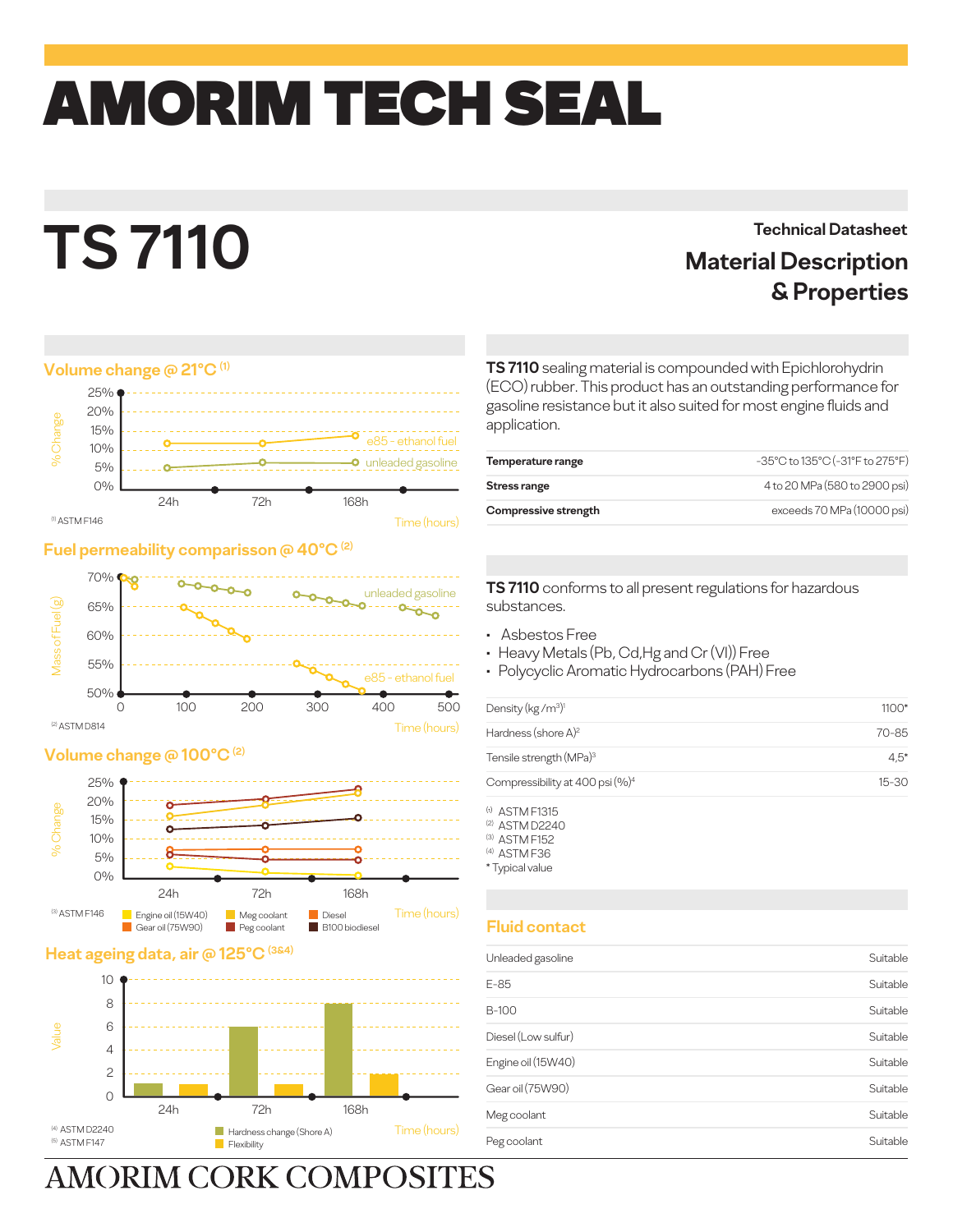## amorim TECH SEAL

# **TS 7110**

### **Technical Datasheet Material Description & Properties**

#### **Volume change @ 21°C (1)**



#### **Fuel permeability comparisson @ 40°C (2)**



#### **Volume change @ 100°C (2)**



#### **Heat ageing data, air @ 125°C**



**AMORIM CORK COMPOSITES** 

**TS 7110** sealing material is compounded with Epichlorohydrin (ECO) rubber. This product has an outstanding performance for gasoline resistance but it also suited for most engine fluids and application.

| Temperature range    | -35°C to 135°C (-31°F to 275°F) |
|----------------------|---------------------------------|
| Stress range         | 4 to 20 MPa (580 to 2900 psi)   |
| Compressive strength | exceeds 70 MPa (10000 psi)      |

**TS 7110** conforms to all present regulations for hazardous substances.

- Asbestos Free
- Heavy Metals (Pb, Cd,Hg and Cr (VI)) Free
- Polycyclic Aromatic Hydrocarbons (PAH) Free

| Density (kg/m <sup>3)1</sup>                | $1100*$   |
|---------------------------------------------|-----------|
| Hardness (shore A) <sup>2</sup>             | 70-85     |
| Tensile strength (MPa) <sup>3</sup>         | $4.5*$    |
| Compressibility at 400 psi (%) <sup>4</sup> | $15 - 30$ |
|                                             |           |

(a) ASTM F1315 (2) ASTM D2240 (3) ASTM F152

(4) ASTM F36

\* Typical value

#### **Fluid contact**

| Unleaded gasoline   | Suitable |
|---------------------|----------|
| $E-85$              | Suitable |
| B-100               | Suitable |
| Diesel (Low sulfur) | Suitable |
| Engine oil (15W40)  | Suitable |
| Gear oil (75W90)    | Suitable |
| Meg coolant         | Suitable |
| Peg coolant         | Suitable |